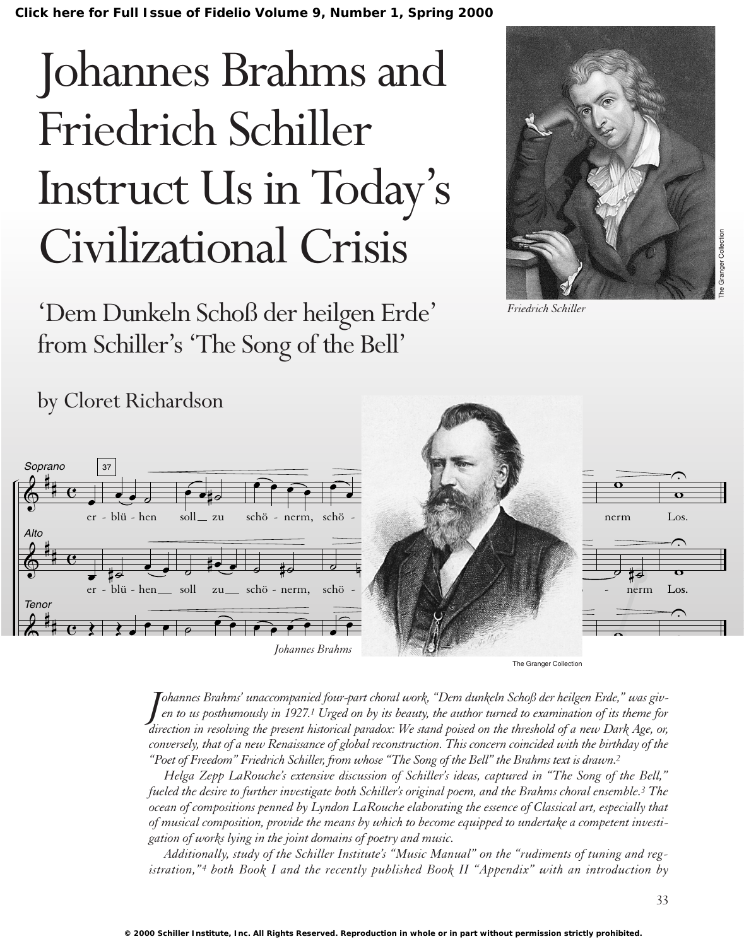**[Click here for Full Issue of Fidelio Volume 9, Number 1, Spring 2000](http://schillerinstitute.org/fidelio_archive/2000/fidv09n01-2000Sp/index.html)**

# Johannes Brahms and Friedrich Schiller Instruct Us in Today's Civilizational Crisis

'Dem Dunkeln Schoß der heilgen Erde' from Schiller's 'The Song of the Bell'



*Friedrich Schiller*

#### $\epsilon$  $\epsilon$  $\lambda$ Soprano<br>0 ttm .<br>H # # # Tenor #  $\overline{\mathbf{e}}$  $\overline{c}$  $\overline{\mathbf{e}}$ Alto œ er - blü - hen œ er -  $\overline{\bullet}$ 37  $\begin{array}{c} \begin{array}{c} \hline \hline \hline \hline \end{array} \end{array}$  $\overline{H}_{\overline{e}}$   $\overline{e}$   $\overline{e}$ blü - hen  $\overline{\mathbf{r}}$  $\overline{\phantom{a}}$  $\overrightarrow{e}$ soll\_zu  $\frac{1}{2}$ soll zu  $\overline{a}$  $\overline{\mathbf{e}}$  $\overline{\hat{c} \cdot \overline{c}}$ schö - nerm, ˙ ˙# schö - nerm,  $\overline{\widehat{\cdot} \cdot \widehat{\cdot}}$ Johannes Brahms  $\frac{1}{\bullet}$ œ œ œ schö  $\frac{1}{\sigma}$  . schö œ  $\equiv$   $\frac{1}{2}$  $\frac{1}{2}$ schöner π π π Los, w Los, w. Los, 42  $\bullet$ zu  $\sim$ zu  $\overline{a}$ zu schö -  $\mathcal{L}$ schö -  $\frac{1}{\overline{a}}$ nerm  $\frac{1}{2}$  to nerm  $\overline{a}$  $\hat{\cdot}$  $\overline{\cdot}$  $\hat{\cdot}$  $\frac{1}{\mathbf{c}}$ Los. —<br>ក Los. w

The Granger Collection

direction in resolving the present historical paradox: We stand poised on the threshold of a new Dark Age, or, Johannes Brahms' unaccompanied four-part choral work, "Dem dunkeln Schoß der heilgen Erde," was giv-<br>en to us posthumously in 1927.<sup>1</sup> Urged on by its beauty, the author turned to examination of its theme for *en to us posthumously in 1927.1 Urged on by its beauty, the author turned to examination of its theme for conversely, that of a new Renaissance of global reconstruction. This concern coincided with the birthday of the "Poet of Freedom" Friedrich Schiller, from whose "The Song of the Bell" the Brahms text is drawn.2*

*Helga Zepp LaRouche's extensive discussion of Schiller's ideas, captured in "The Song of the Bell," fueled the desire to further investigate both Schiller's original poem, and the Brahms choral ensemble.3 The ocean of compositions penned by Lyndon LaRouche elaborating the essence of Classical art, especially that of musical composition, provide the means by which to become equipped to undertake a competent investigation of works lying in the joint domains of poetry and music.*

*Additionally, study of the Schiller Institute's "Music Manual" on the "rudiments of tuning and registration,"4 both Book I and the recently published Book II "Appendix" with an introduction by* 

## by Cloret Richardson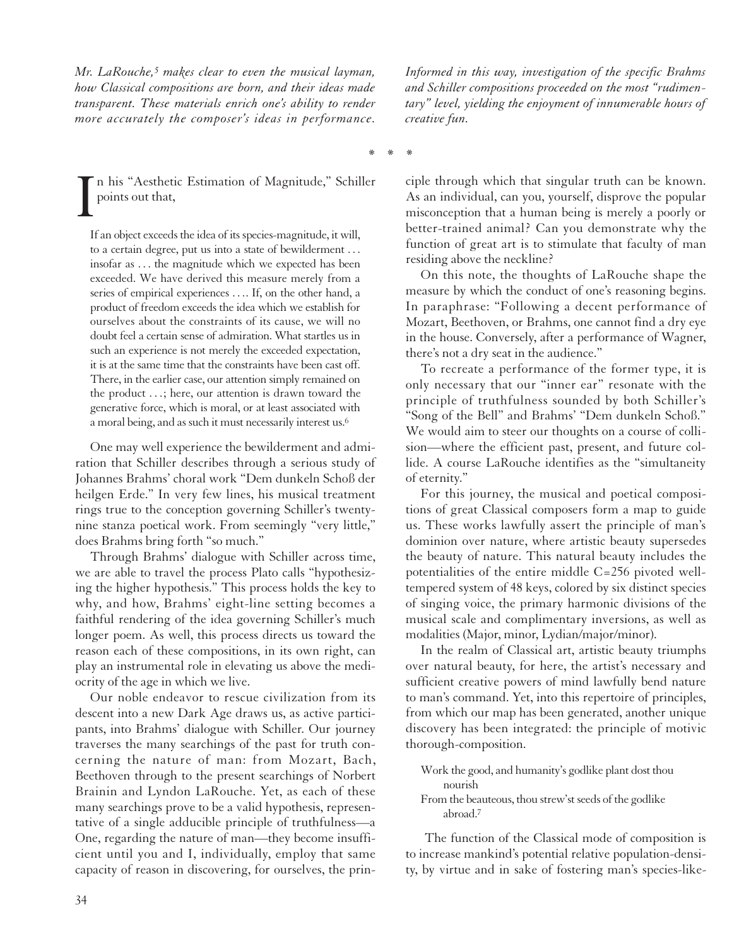*Mr. LaRouche,5 makes clear to even the musical layman, how Classical compositions are born, and their ideas made transparent. These materials enrich one's ability to render more accurately the composer's ideas in performance.*

I n his "Aesthetic Estimation of Magnitude," Schiller points out that,

If an object exceeds the idea of its species-magnitude, it will, to a certain degree, put us into a state of bewilderment . . . insofar as . . . the magnitude which we expected has been exceeded. We have derived this measure merely from a series of empirical experiences . . .. If, on the other hand, a product of freedom exceeds the idea which we establish for ourselves about the constraints of its cause, we will no doubt feel a certain sense of admiration. What startles us in such an experience is not merely the exceeded expectation, it is at the same time that the constraints have been cast off. There, in the earlier case, our attention simply remained on the product . . .; here, our attention is drawn toward the generative force, which is moral, or at least associated with a moral being, and as such it must necessarily interest us.6

One may well experience the bewilderment and admiration that Schiller describes through a serious study of Johannes Brahms' choral work "Dem dunkeln Schoß der heilgen Erde." In very few lines, his musical treatment rings true to the conception governing Schiller's twentynine stanza poetical work. From seemingly "very little," does Brahms bring forth "so much."

Through Brahms' dialogue with Schiller across time, we are able to travel the process Plato calls "hypothesizing the higher hypothesis." This process holds the key to why, and how, Brahms' eight-line setting becomes a faithful rendering of the idea governing Schiller's much longer poem. As well, this process directs us toward the reason each of these compositions, in its own right, can play an instrumental role in elevating us above the mediocrity of the age in which we live.

Our noble endeavor to rescue civilization from its descent into a new Dark Age draws us, as active participants, into Brahms' dialogue with Schiller. Our journey traverses the many searchings of the past for truth concerning the nature of man: from Mozart, Bach, Beethoven through to the present searchings of Norbert Brainin and Lyndon LaRouche. Yet, as each of these many searchings prove to be a valid hypothesis, representative of a single adducible principle of truthfulness—a One, regarding the nature of man—they become insufficient until you and I, individually, employ that same capacity of reason in discovering, for ourselves, the prin*Informed in this way, investigation of the specific Brahms and Schiller compositions proceeded on the most "rudimentary" level, yielding the enjoyment of innumerable hours of creative fun.*

\*\*\*

ciple through which that singular truth can be known. As an individual, can you, yourself, disprove the popular misconception that a human being is merely a poorly or better-trained animal? Can you demonstrate why the function of great art is to stimulate that faculty of man residing above the neckline?

On this note, the thoughts of LaRouche shape the measure by which the conduct of one's reasoning begins. In paraphrase: "Following a decent performance of Mozart, Beethoven, or Brahms, one cannot find a dry eye in the house. Conversely, after a performance of Wagner, there's not a dry seat in the audience."

To recreate a performance of the former type, it is only necessary that our "inner ear" resonate with the principle of truthfulness sounded by both Schiller's "Song of the Bell" and Brahms' "Dem dunkeln Schoß." We would aim to steer our thoughts on a course of collision—where the efficient past, present, and future collide. A course LaRouche identifies as the "simultaneity of eternity."

For this journey, the musical and poetical compositions of great Classical composers form a map to guide us. These works lawfully assert the principle of man's dominion over nature, where artistic beauty supersedes the beauty of nature. This natural beauty includes the potentialities of the entire middle C=256 pivoted welltempered system of 48 keys, colored by six distinct species of singing voice, the primary harmonic divisions of the musical scale and complimentary inversions, as well as modalities (Major, minor, Lydian/major/minor).

In the realm of Classical art, artistic beauty triumphs over natural beauty, for here, the artist's necessary and sufficient creative powers of mind lawfully bend nature to man's command. Yet, into this repertoire of principles, from which our map has been generated, another unique discovery has been integrated: the principle of motivic thorough-composition.

Work the good, and humanity's godlike plant dost thou nourish

The function of the Classical mode of composition is to increase mankind's potential relative population-density, by virtue and in sake of fostering man's species-like-

From the beauteous, thou strew'st seeds of the godlike abroad.7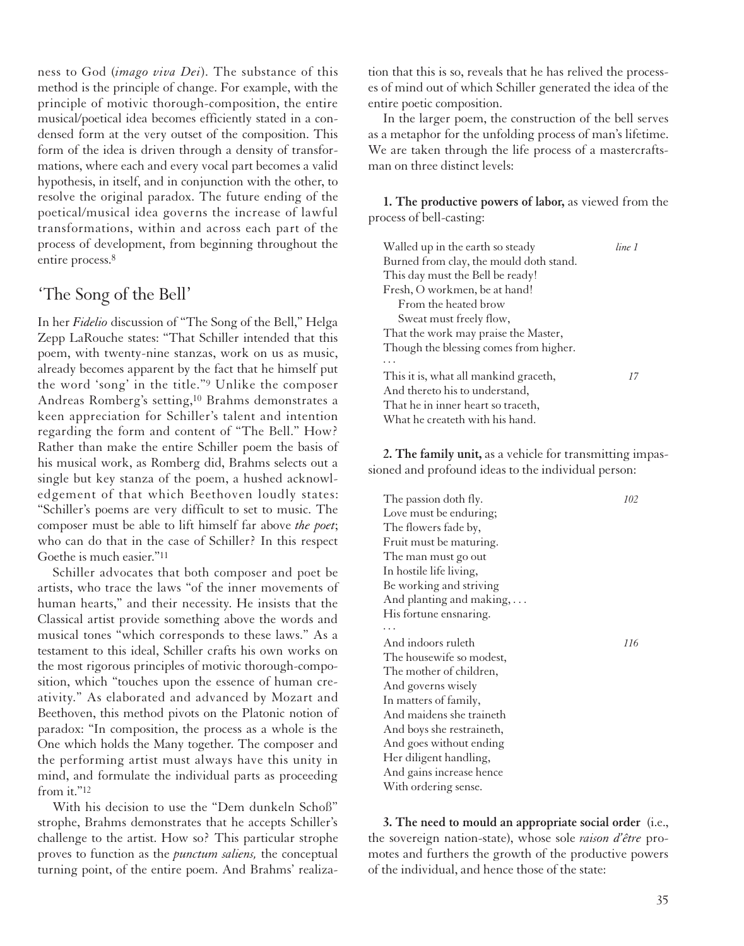ness to God (*imago viva Dei*). The substance of this method is the principle of change. For example, with the principle of motivic thorough-composition, the entire musical/poetical idea becomes efficiently stated in a condensed form at the very outset of the composition. This form of the idea is driven through a density of transformations, where each and every vocal part becomes a valid hypothesis, in itself, and in conjunction with the other, to resolve the original paradox. The future ending of the poetical/musical idea governs the increase of lawful transformations, within and across each part of the process of development, from beginning throughout the entire process.8

#### 'The Song of the Bell'

In her *Fidelio* discussion of "The Song of the Bell," Helga Zepp LaRouche states: "That Schiller intended that this poem, with twenty-nine stanzas, work on us as music, already becomes apparent by the fact that he himself put the word 'song' in the title."9 Unlike the composer Andreas Romberg's setting,10 Brahms demonstrates a keen appreciation for Schiller's talent and intention regarding the form and content of "The Bell." How? Rather than make the entire Schiller poem the basis of his musical work, as Romberg did, Brahms selects out a single but key stanza of the poem, a hushed acknowledgement of that which Beethoven loudly states: "Schiller's poems are very difficult to set to music. The composer must be able to lift himself far above *the poet*; who can do that in the case of Schiller? In this respect Goethe is much easier."11

Schiller advocates that both composer and poet be artists, who trace the laws "of the inner movements of human hearts," and their necessity. He insists that the Classical artist provide something above the words and musical tones "which corresponds to these laws." As a testament to this ideal, Schiller crafts his own works on the most rigorous principles of motivic thorough-composition, which "touches upon the essence of human creativity." As elaborated and advanced by Mozart and Beethoven, this method pivots on the Platonic notion of paradox: "In composition, the process as a whole is the One which holds the Many together. The composer and the performing artist must always have this unity in mind, and formulate the individual parts as proceeding from it."12

With his decision to use the "Dem dunkeln Schoß" strophe, Brahms demonstrates that he accepts Schiller's challenge to the artist. How so? This particular strophe proves to function as the *punctum saliens,* the conceptual turning point, of the entire poem. And Brahms' realiza-

tion that this is so, reveals that he has relived the processes of mind out of which Schiller generated the idea of the entire poetic composition.

In the larger poem, the construction of the bell serves as a metaphor for the unfolding process of man's lifetime. We are taken through the life process of a mastercraftsman on three distinct levels:

**1. The productive powers of labor,** as viewed from the process of bell-casting:

| Walled up in the earth so steady        | line 1 |
|-----------------------------------------|--------|
| Burned from clay, the mould doth stand. |        |
| This day must the Bell be ready!        |        |
| Fresh, O workmen, be at hand!           |        |
| From the heated brow                    |        |
| Sweat must freely flow,                 |        |
| That the work may praise the Master,    |        |
| Though the blessing comes from higher.  |        |
|                                         |        |
| This it is, what all mankind graceth,   | 17     |
| And thereto his to understand,          |        |
| That he in inner heart so traceth,      |        |
| What he createth with his hand.         |        |

**2. The family unit,** as a vehicle for transmitting impassioned and profound ideas to the individual person:

| The passion doth fly.     | 102 |
|---------------------------|-----|
| Love must be enduring;    |     |
| The flowers fade by,      |     |
| Fruit must be maturing.   |     |
| The man must go out       |     |
| In hostile life living,   |     |
| Be working and striving   |     |
| And planting and making,  |     |
| His fortune ensnaring.    |     |
|                           |     |
| And indoors ruleth        | 116 |
| The housewife so modest,  |     |
| The mother of children,   |     |
| And governs wisely        |     |
| In matters of family,     |     |
| And maidens she traineth  |     |
| And boys she restraineth, |     |
| And goes without ending   |     |
| Her diligent handling,    |     |
| And gains increase hence  |     |
| With ordering sense.      |     |

**3. The need to mould an appropriate social order** (i.e., the sovereign nation-state), whose sole *raison d'être* promotes and furthers the growth of the productive powers of the individual, and hence those of the state: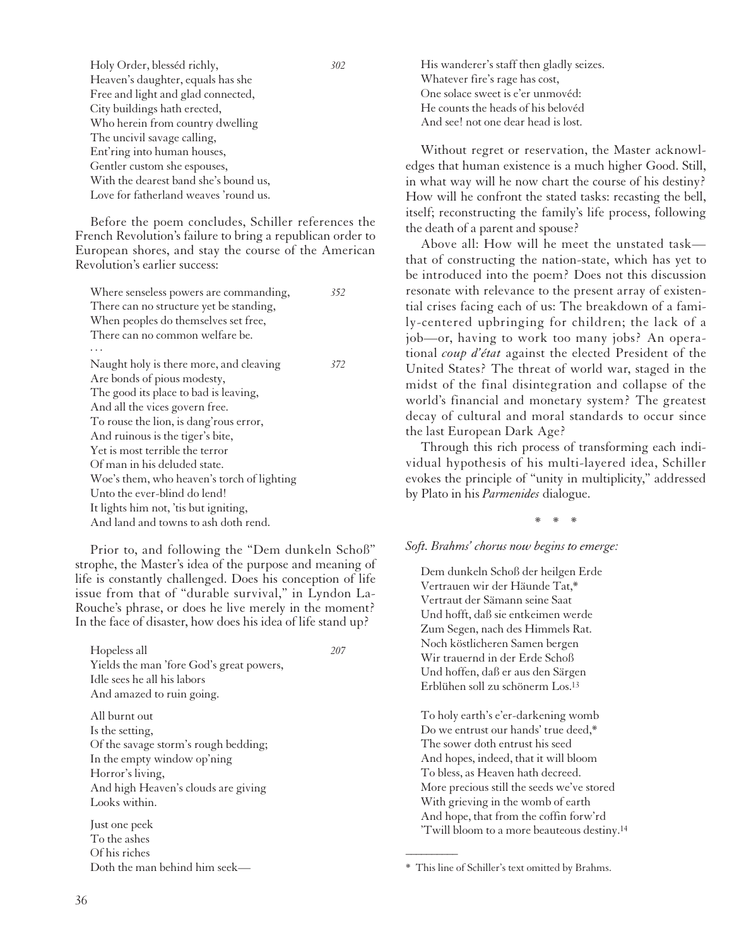| Holy Order, blesséd richly,           | 302 |
|---------------------------------------|-----|
| Heaven's daughter, equals has she     |     |
| Free and light and glad connected,    |     |
| City buildings hath erected,          |     |
| Who herein from country dwelling      |     |
| The uncivil savage calling,           |     |
| Ent'ring into human houses,           |     |
| Gentler custom she espouses,          |     |
| With the dearest band she's bound us, |     |
| Love for fatherland weaves 'round us. |     |
|                                       |     |

Before the poem concludes, Schiller references the French Revolution's failure to bring a republican order to European shores, and stay the course of the American Revolution's earlier success:

| 372 | Where senseless powers are commanding,     | 352 |
|-----|--------------------------------------------|-----|
|     | There can no structure yet be standing,    |     |
|     | When peoples do themselves set free,       |     |
|     | There can no common welfare be.            |     |
|     |                                            |     |
|     | Naught holy is there more, and cleaving    |     |
|     | Are bonds of pious modesty,                |     |
|     | The good its place to bad is leaving,      |     |
|     | And all the vices govern free.             |     |
|     | To rouse the lion, is dang' rous error,    |     |
|     | And ruinous is the tiger's bite,           |     |
|     | Yet is most terrible the terror            |     |
|     | Of man in his deluded state.               |     |
|     | Woe's them, who heaven's torch of lighting |     |
|     | Unto the ever-blind do lend!               |     |
|     | It lights him not, 'tis but igniting,      |     |
|     | And land and towns to ash doth rend.       |     |
|     |                                            |     |

Prior to, and following the "Dem dunkeln Schoß" strophe, the Master's idea of the purpose and meaning of life is constantly challenged. Does his conception of life issue from that of "durable survival," in Lyndon La-Rouche's phrase, or does he live merely in the moment? In the face of disaster, how does his idea of life stand up?

Hopeless all *207*

Yields the man 'fore God's great powers, Idle sees he all his labors And amazed to ruin going.

All burnt out Is the setting, Of the savage storm's rough bedding; In the empty window op'ning Horror's living, And high Heaven's clouds are giving Looks within.

Just one peek To the ashes Of his riches Doth the man behind him seekHis wanderer's staff then gladly seizes. Whatever fire's rage has cost, One solace sweet is e'er unmovéd: He counts the heads of his belovéd And see! not one dear head is lost.

Without regret or reservation, the Master acknowledges that human existence is a much higher Good. Still, in what way will he now chart the course of his destiny? How will he confront the stated tasks: recasting the bell, itself; reconstructing the family's life process, following the death of a parent and spouse?

Above all: How will he meet the unstated task that of constructing the nation-state, which has yet to be introduced into the poem? Does not this discussion resonate with relevance to the present array of existential crises facing each of us: The breakdown of a family-centered upbringing for children; the lack of a job—or, having to work too many jobs? An operational *coup d'état* against the elected President of the United States? The threat of world war, staged in the midst of the final disintegration and collapse of the world's financial and monetary system? The greatest decay of cultural and moral standards to occur since the last European Dark Age?

Through this rich process of transforming each individual hypothesis of his multi-layered idea, Schiller evokes the principle of "unity in multiplicity," addressed by Plato in his *Parmenides* dialogue.

\*\*\*

*Soft. Brahms' chorus now begins to emerge:*

Dem dunkeln Schoß der heilgen Erde Vertrauen wir der Häunde Tat,\* Vertraut der Sämann seine Saat Und hofft, daß sie entkeimen werde Zum Segen, nach des Himmels Rat. Noch köstlicheren Samen bergen Wir trauernd in der Erde Schoß Und hoffen, daß er aus den Särgen Erblühen soll zu schönerm Los.13

To holy earth's e'er-darkening womb Do we entrust our hands' true deed,\* The sower doth entrust his seed And hopes, indeed, that it will bloom To bless, as Heaven hath decreed. More precious still the seeds we've stored With grieving in the womb of earth And hope, that from the coffin forw'rd 'Twill bloom to a more beauteous destiny.14

 $\overline{\phantom{a}}$ 

<sup>\*</sup> This line of Schiller's text omitted by Brahms.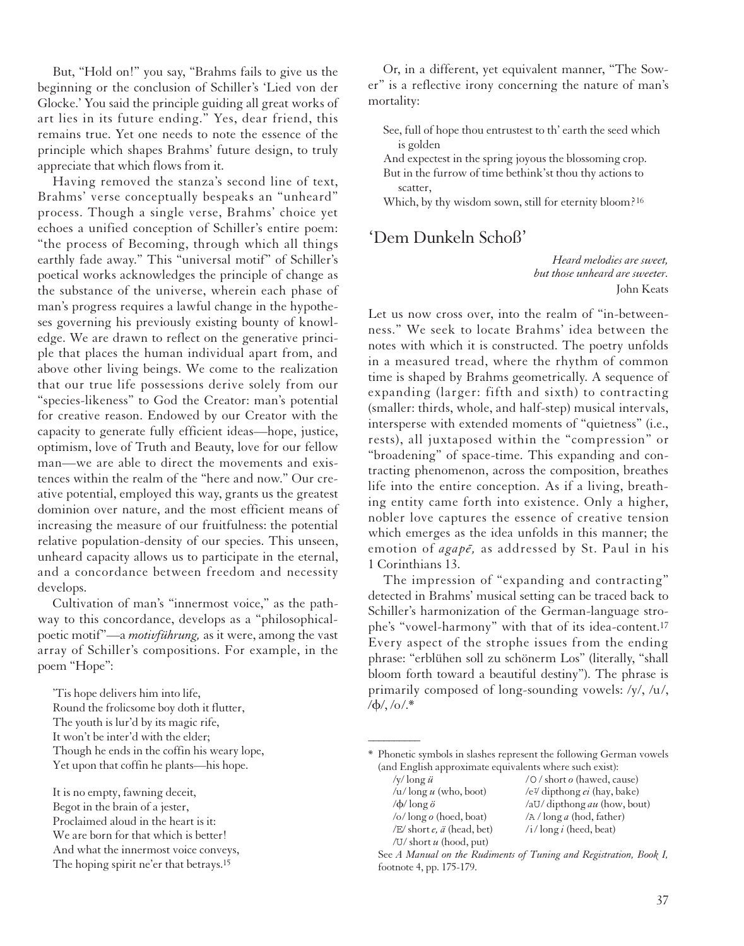But, "Hold on!" you say, "Brahms fails to give us the beginning or the conclusion of Schiller's 'Lied von der Glocke.' You said the principle guiding all great works of art lies in its future ending." Yes, dear friend, this remains true. Yet one needs to note the essence of the principle which shapes Brahms' future design, to truly appreciate that which flows from it.

Having removed the stanza's second line of text, Brahms' verse conceptually bespeaks an "unheard" process. Though a single verse, Brahms' choice yet echoes a unified conception of Schiller's entire poem: "the process of Becoming, through which all things earthly fade away." This "universal motif" of Schiller's poetical works acknowledges the principle of change as the substance of the universe, wherein each phase of man's progress requires a lawful change in the hypotheses governing his previously existing bounty of knowledge. We are drawn to reflect on the generative principle that places the human individual apart from, and above other living beings. We come to the realization that our true life possessions derive solely from our "species-likeness" to God the Creator: man's potential for creative reason. Endowed by our Creator with the capacity to generate fully efficient ideas—hope, justice, optimism, love of Truth and Beauty, love for our fellow man—we are able to direct the movements and existences within the realm of the "here and now." Our creative potential, employed this way, grants us the greatest dominion over nature, and the most efficient means of increasing the measure of our fruitfulness: the potential relative population-density of our species. This unseen, unheard capacity allows us to participate in the eternal, and a concordance between freedom and necessity develops.

Cultivation of man's "innermost voice," as the pathway to this concordance, develops as a "philosophicalpoetic motif"—a *motivführung,* as it were, among the vast array of Schiller's compositions. For example, in the poem "Hope":

'Tis hope delivers him into life, Round the frolicsome boy doth it flutter, The youth is lur'd by its magic rife, It won't be inter'd with the elder; Though he ends in the coffin his weary lope, Yet upon that coffin he plants—his hope.

It is no empty, fawning deceit, Begot in the brain of a jester, Proclaimed aloud in the heart is it: We are born for that which is better! And what the innermost voice conveys, The hoping spirit ne'er that betrays.15

Or, in a different, yet equivalent manner, "The Sower" is a reflective irony concerning the nature of man's mortality:

- See, full of hope thou entrustest to th' earth the seed which is golden
- And expectest in the spring joyous the blossoming crop. But in the furrow of time bethink'st thou thy actions to scatter,

Which, by thy wisdom sown, still for eternity bloom?<sup>16</sup>

#### 'Dem Dunkeln Schoß'

*Heard melodies are sweet, but those unheard are sweeter.* John Keats

Let us now cross over, into the realm of "in-betweenness." We seek to locate Brahms' idea between the notes with which it is constructed. The poetry unfolds in a measured tread, where the rhythm of common time is shaped by Brahms geometrically. A sequence of expanding (larger: fifth and sixth) to contracting (smaller: thirds, whole, and half-step) musical intervals, intersperse with extended moments of "quietness" (i.e., rests), all juxtaposed within the "compression" or "broadening" of space-time. This expanding and contracting phenomenon, across the composition, breathes life into the entire conception. As if a living, breathing entity came forth into existence. Only a higher, nobler love captures the essence of creative tension which emerges as the idea unfolds in this manner; the emotion of *agape*, as addressed by St. Paul in his 1 Corinthians 13.

The impression of "expanding and contracting" detected in Brahms' musical setting can be traced back to Schiller's harmonization of the German-language strophe's "vowel-harmony" with that of its idea-content.17 Every aspect of the strophe issues from the ending phrase: "erblühen soll zu schönerm Los" (literally, "shall bloom forth toward a beautiful destiny"). The phrase is primarily composed of long-sounding vowels: /y/, /u/,  $/\phi$ /,  $/\phi$ /.\*

\* Phonetic symbols in slashes represent the following German vowels (and English approximate equivalents where such exist):

 $\overline{\phantom{a}}$ 

| /y/ $\log u$               | /O/short o (hawed, cause)                                             |
|----------------------------|-----------------------------------------------------------------------|
| $/u$ /long $u$ (who, boot) | /e <sup><math>\frac{y}{x}</math></sup> dipthong <i>ei</i> (hay, bake) |
| / $\phi$ /long $\ddot{o}$  | /aU/ dipthong au (how, bout)                                          |
| /o/long $o$ (hoed, boat)   | $\sqrt{A}/\log a$ (hod, father)                                       |
| /E/ short e, ä (head, bet) | $/i$ long i (heed, beat)                                              |
| /U/ short $u$ (hood, put)  |                                                                       |

See *A Manual on the Rudiments of Tuning and Registration, Book I,* footnote 4, pp. 175-179.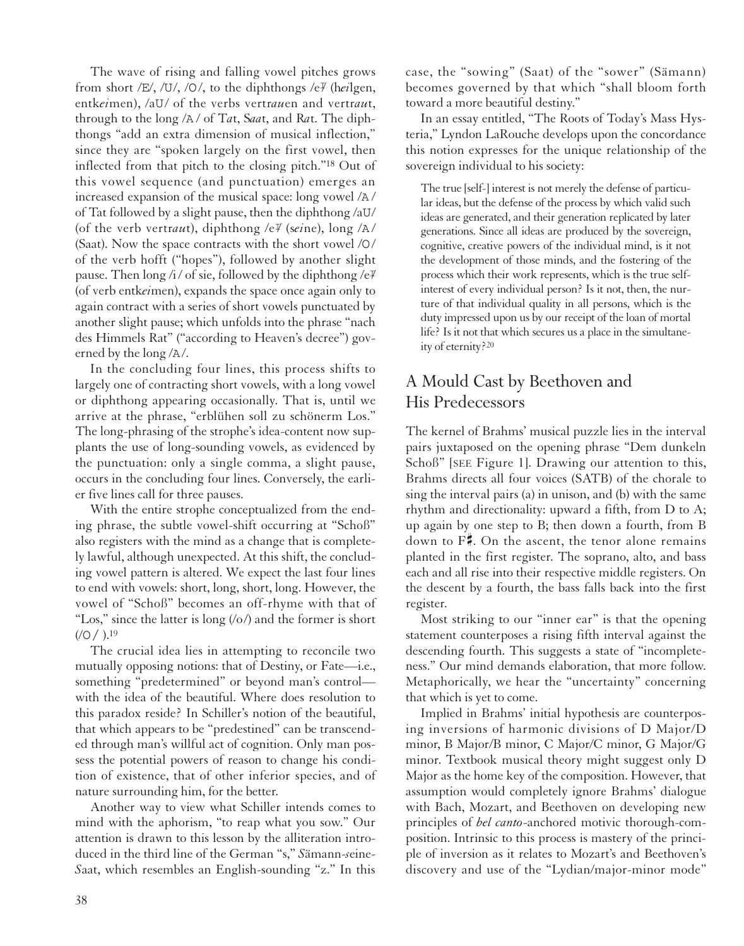The wave of rising and falling vowel pitches grows from short /E/, /U/, /O/, to the diphthongs /e<sup> $\gamma$ </sup> (heilgen, entk*ei*men), /aU/ of the verbs vertr*au*en and vertr*au*t, through to the long /A / of T*a*t, S*aa*t, and R*a*t. The diphthongs "add an extra dimension of musical inflection," since they are "spoken largely on the first vowel, then inflected from that pitch to the closing pitch."18 Out of this vowel sequence (and punctuation) emerges an increased expansion of the musical space: long vowel /A / of Tat followed by a slight pause, then the diphthong /aU/ (of the verb vertraut), diphthong /e<sup> $\gamma$ </sup> (seine), long /A/ (Saat). Now the space contracts with the short vowel /O/ of the verb hofft ("hopes"), followed by another slight pause. Then long /i/ of sie, followed by the diphthong /e $\not\!\!P$ (of verb entk*ei*men), expands the space once again only to again contract with a series of short vowels punctuated by another slight pause; which unfolds into the phrase "nach des Himmels Rat" ("according to Heaven's decree") governed by the long /A/.

In the concluding four lines, this process shifts to largely one of contracting short vowels, with a long vowel or diphthong appearing occasionally. That is, until we arrive at the phrase, "erblühen soll zu schönerm Los." The long-phrasing of the strophe's idea-content now supplants the use of long-sounding vowels, as evidenced by the punctuation: only a single comma, a slight pause, occurs in the concluding four lines. Conversely, the earlier five lines call for three pauses.

With the entire strophe conceptualized from the ending phrase, the subtle vowel-shift occurring at "Schoß" also registers with the mind as a change that is completely lawful, although unexpected. At this shift, the concluding vowel pattern is altered. We expect the last four lines to end with vowels: short, long, short, long. However, the vowel of "Schoß" becomes an off-rhyme with that of "Los," since the latter is long  $(0/2)$  and the former is short  $((O / ).19)$ 

The crucial idea lies in attempting to reconcile two mutually opposing notions: that of Destiny, or Fate—i.e., something "predetermined" or beyond man's control with the idea of the beautiful. Where does resolution to this paradox reside? In Schiller's notion of the beautiful, that which appears to be "predestined" can be transcended through man's willful act of cognition. Only man possess the potential powers of reason to change his condition of existence, that of other inferior species, and of nature surrounding him, for the better.

Another way to view what Schiller intends comes to mind with the aphorism, "to reap what you sow." Our attention is drawn to this lesson by the alliteration introduced in the third line of the German "s," *S*ämann-*s*eine-*S*aat, which resembles an English-sounding "z." In this case, the "sowing" (Saat) of the "sower" (Sämann) becomes governed by that which "shall bloom forth toward a more beautiful destiny."

In an essay entitled, "The Roots of Today's Mass Hysteria," Lyndon LaRouche develops upon the concordance this notion expresses for the unique relationship of the sovereign individual to his society:

The true [self-] interest is not merely the defense of particular ideas, but the defense of the process by which valid such ideas are generated, and their generation replicated by later generations. Since all ideas are produced by the sovereign, cognitive, creative powers of the individual mind, is it not the development of those minds, and the fostering of the process which their work represents, which is the true selfinterest of every individual person? Is it not, then, the nurture of that individual quality in all persons, which is the duty impressed upon us by our receipt of the loan of mortal life? Is it not that which secures us a place in the simultaneity of eternity?20

### A Mould Cast by Beethoven and His Predecessors

The kernel of Brahms' musical puzzle lies in the interval pairs juxtaposed on the opening phrase "Dem dunkeln Schoß" [SEE Figure 1]. Drawing our attention to this, Brahms directs all four voices (SATB) of the chorale to sing the interval pairs (a) in unison, and (b) with the same rhythm and directionality: upward a fifth, from D to A; up again by one step to B; then down a fourth, from B down to  $F^*$ . On the ascent, the tenor alone remains planted in the first register. The soprano, alto, and bass each and all rise into their respective middle registers. On the descent by a fourth, the bass falls back into the first register.

Most striking to our "inner ear" is that the opening statement counterposes a rising fifth interval against the descending fourth. This suggests a state of "incompleteness." Our mind demands elaboration, that more follow. Metaphorically, we hear the "uncertainty" concerning that which is yet to come.

Implied in Brahms' initial hypothesis are counterposing inversions of harmonic divisions of D Major/D minor, B Major/B minor, C Major/C minor, G Major/G minor. Textbook musical theory might suggest only D Major as the home key of the composition. However, that assumption would completely ignore Brahms' dialogue with Bach, Mozart, and Beethoven on developing new principles of *bel canto*-anchored motivic thorough-composition. Intrinsic to this process is mastery of the principle of inversion as it relates to Mozart's and Beethoven's discovery and use of the "Lydian/major-minor mode"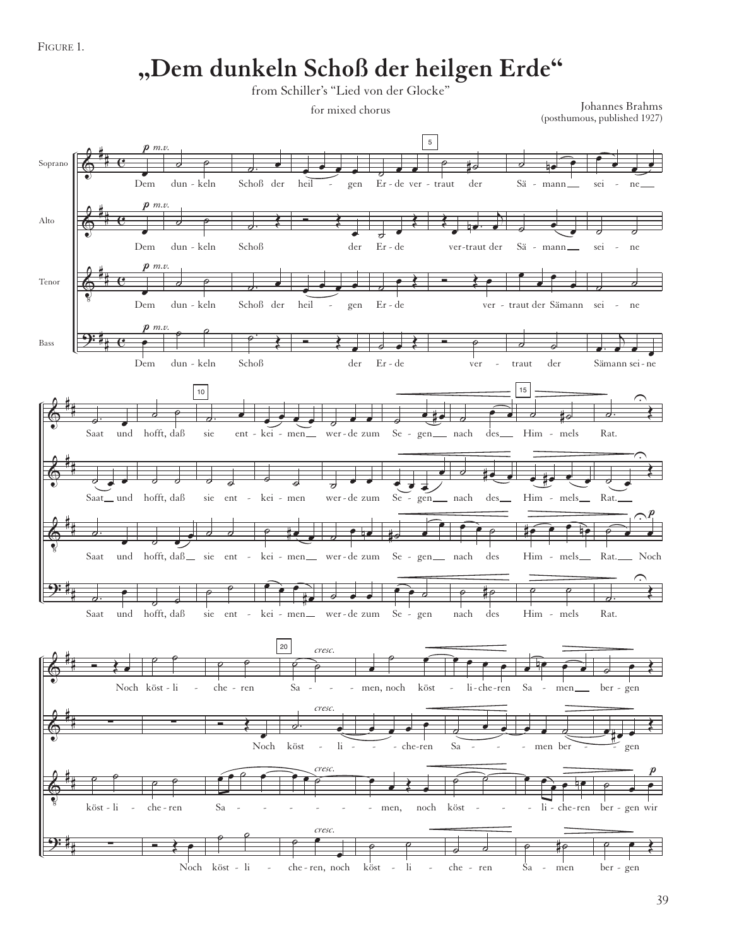FIGURE 1.

## **"Dem dunkeln Schoß der heilgen Erde"**

from Schiller's "Lied von der Glocke"

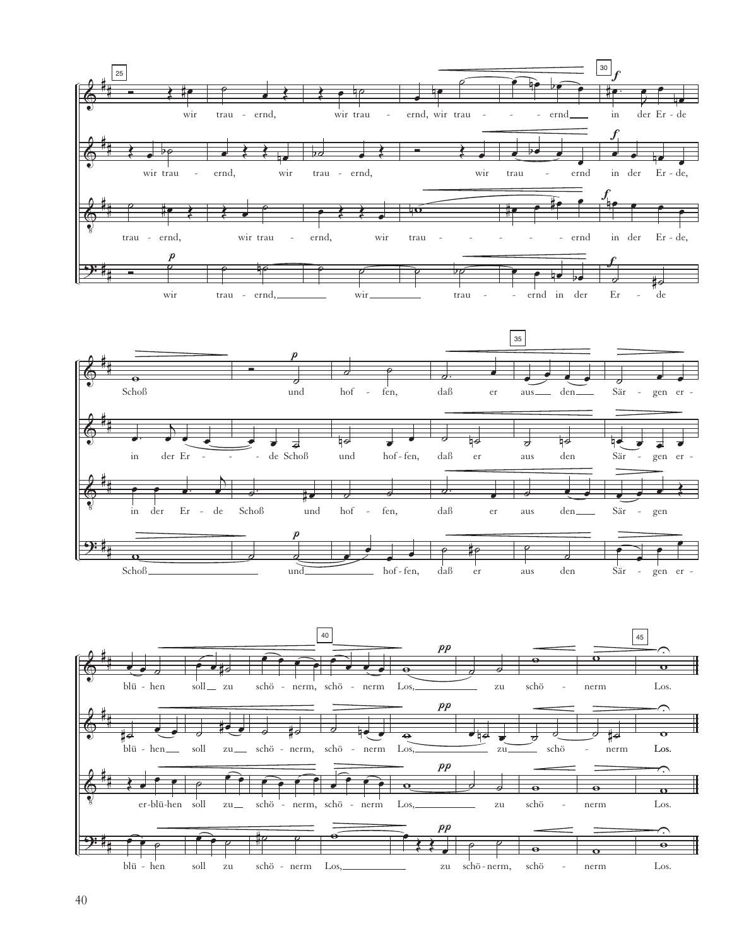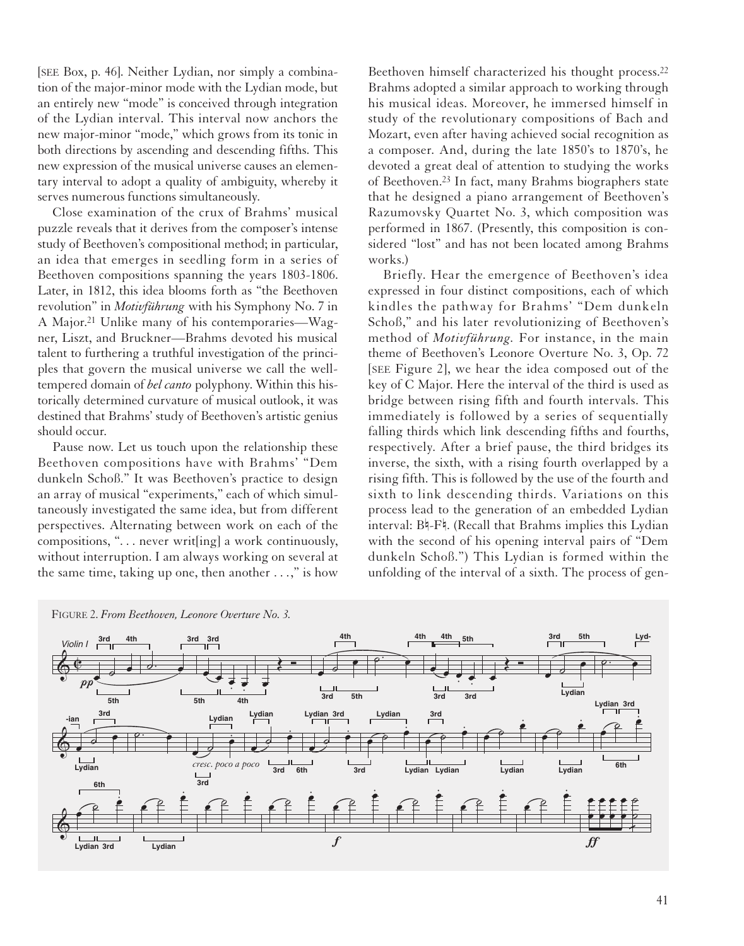[SEE Box, p. 46]. Neither Lydian, nor simply a combination of the major-minor mode with the Lydian mode, but an entirely new "mode" is conceived through integration of the Lydian interval. This interval now anchors the new major-minor "mode," which grows from its tonic in both directions by ascending and descending fifths. This new expression of the musical universe causes an elementary interval to adopt a quality of ambiguity, whereby it serves numerous functions simultaneously.

Close examination of the crux of Brahms' musical puzzle reveals that it derives from the composer's intense study of Beethoven's compositional method; in particular, an idea that emerges in seedling form in a series of Beethoven compositions spanning the years 1803-1806. Later, in 1812, this idea blooms forth as "the Beethoven revolution" in *Motivführung* with his Symphony No. 7 in A Major.21 Unlike many of his contemporaries—Wagner, Liszt, and Bruckner—Brahms devoted his musical talent to furthering a truthful investigation of the principles that govern the musical universe we call the welltempered domain of *bel canto* polyphony. Within this historically determined curvature of musical outlook, it was destined that Brahms' study of Beethoven's artistic genius should occur.

Pause now. Let us touch upon the relationship these Beethoven compositions have with Brahms' "Dem dunkeln Schoß." It was Beethoven's practice to design an array of musical "experiments," each of which simultaneously investigated the same idea, but from different perspectives. Alternating between work on each of the compositions, ". . . never writ[ing] a work continuously, without interruption. I am always working on several at the same time, taking up one, then another . . .," is how

Beethoven himself characterized his thought process.22 Brahms adopted a similar approach to working through his musical ideas. Moreover, he immersed himself in study of the revolutionary compositions of Bach and Mozart, even after having achieved social recognition as a composer. And, during the late 1850's to 1870's, he devoted a great deal of attention to studying the works of Beethoven.23 In fact, many Brahms biographers state that he designed a piano arrangement of Beethoven's Razumovsky Quartet No. 3, which composition was performed in 1867. (Presently, this composition is considered "lost" and has not been located among Brahms works.)

Briefly. Hear the emergence of Beethoven's idea expressed in four distinct compositions, each of which kindles the pathway for Brahms' "Dem dunkeln Schoß," and his later revolutionizing of Beethoven's method of *Motivführung.* For instance, in the main theme of Beethoven's Leonore Overture No. 3, Op. 72 [SEE Figure 2], we hear the idea composed out of the key of C Major. Here the interval of the third is used as bridge between rising fifth and fourth intervals. This immediately is followed by a series of sequentially falling thirds which link descending fifths and fourths, respectively. After a brief pause, the third bridges its inverse, the sixth, with a rising fourth overlapped by a rising fifth. This is followed by the use of the fourth and sixth to link descending thirds. Variations on this process lead to the generation of an embedded Lydian interval: B4-F4. (Recall that Brahms implies this Lydian with the second of his opening interval pairs of "Dem dunkeln Schoß.") This Lydian is formed within the unfolding of the interval of a sixth. The process of gen-



41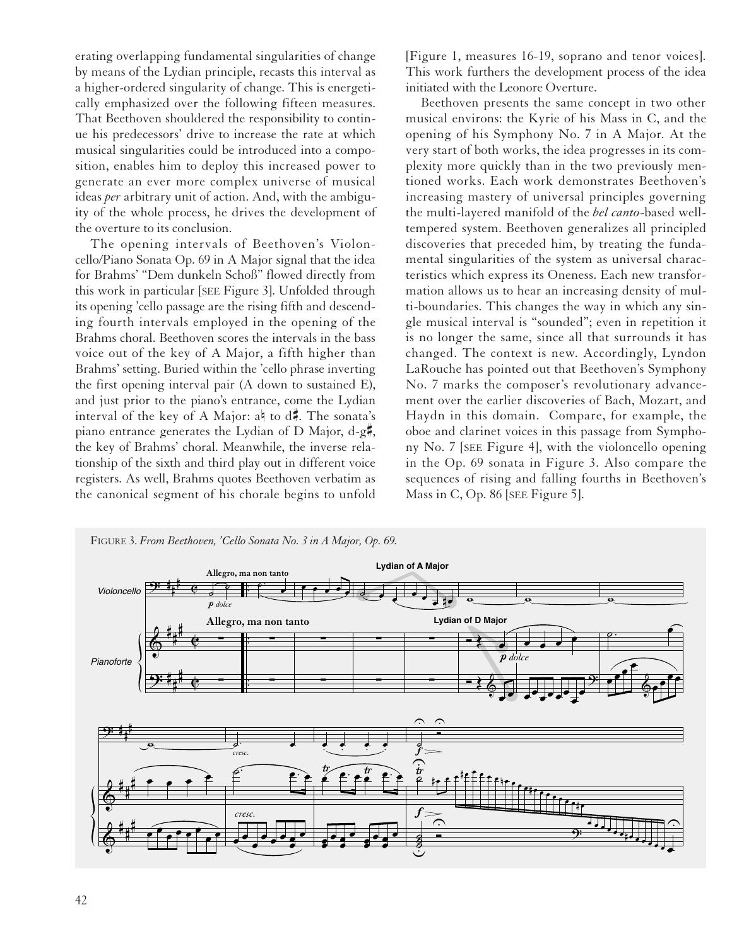erating overlapping fundamental singularities of change by means of the Lydian principle, recasts this interval as a higher-ordered singularity of change. This is energetically emphasized over the following fifteen measures. That Beethoven shouldered the responsibility to continue his predecessors' drive to increase the rate at which musical singularities could be introduced into a composition, enables him to deploy this increased power to generate an ever more complex universe of musical ideas *per* arbitrary unit of action. And, with the ambiguity of the whole process, he drives the development of the overture to its conclusion.

The opening intervals of Beethoven's Violoncello/Piano Sonata Op. 69 in A Major signal that the idea for Brahms' "Dem dunkeln Schoß" flowed directly from this work in particular [SEE Figure 3]. Unfolded through its opening 'cello passage are the rising fifth and descending fourth intervals employed in the opening of the Brahms choral. Beethoven scores the intervals in the bass voice out of the key of A Major, a fifth higher than Brahms' setting. Buried within the 'cello phrase inverting the first opening interval pair (A down to sustained E), and just prior to the piano's entrance, come the Lydian interval of the key of A Major:  $a \nmid$  to  $d\pi$ . The sonata's piano entrance generates the Lydian of D Major,  $d-g\ddagger$ , the key of Brahms' choral. Meanwhile, the inverse relationship of the sixth and third play out in different voice registers. As well, Brahms quotes Beethoven verbatim as the canonical segment of his chorale begins to unfold

[Figure 1, measures 16-19, soprano and tenor voices]. This work furthers the development process of the idea initiated with the Leonore Overture.

Beethoven presents the same concept in two other musical environs: the Kyrie of his Mass in C, and the opening of his Symphony No. 7 in A Major. At the very start of both works, the idea progresses in its complexity more quickly than in the two previously mentioned works. Each work demonstrates Beethoven's increasing mastery of universal principles governing the multi-layered manifold of the *bel canto*-based welltempered system. Beethoven generalizes all principled discoveries that preceded him, by treating the fundamental singularities of the system as universal characteristics which express its Oneness. Each new transformation allows us to hear an increasing density of multi-boundaries. This changes the way in which any single musical interval is "sounded"; even in repetition it is no longer the same, since all that surrounds it has changed. The context is new. Accordingly, Lyndon LaRouche has pointed out that Beethoven's Symphony No. 7 marks the composer's revolutionary advancement over the earlier discoveries of Bach, Mozart, and Haydn in this domain. Compare, for example, the oboe and clarinet voices in this passage from Symphony No. 7 [SEE Figure 4], with the violoncello opening in the Op. 69 sonata in Figure 3. Also compare the sequences of rising and falling fourths in Beethoven's Mass in C, Op. 86 [SEE Figure 5].

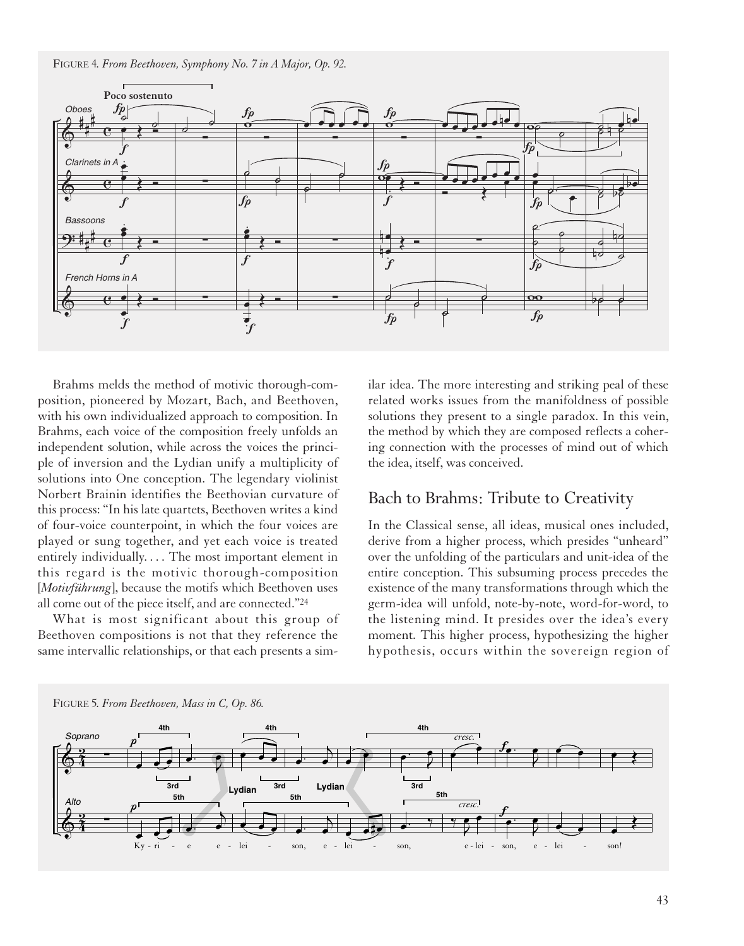FIGURE 4*. From Beethoven, Symphony No. 7 in A Major, Op. 92.*



Brahms melds the method of motivic thorough-composition, pioneered by Mozart, Bach, and Beethoven, with his own individualized approach to composition. In Brahms, each voice of the composition freely unfolds an independent solution, while across the voices the principle of inversion and the Lydian unify a multiplicity of solutions into One conception. The legendary violinist Norbert Brainin identifies the Beethovian curvature of this process: "In his late quartets, Beethoven writes a kind of four-voice counterpoint, in which the four voices are played or sung together, and yet each voice is treated entirely individually. . . . The most important element in this regard is the motivic thorough-composition [*Motivführung*], because the motifs which Beethoven uses all come out of the piece itself, and are connected."24

What is most significant about this group of Beethoven compositions is not that they reference the same intervallic relationships, or that each presents a similar idea. The more interesting and striking peal of these related works issues from the manifoldness of possible solutions they present to a single paradox. In this vein, the method by which they are composed reflects a cohering connection with the processes of mind out of which the idea, itself, was conceived.

#### Bach to Brahms: Tribute to Creativity

In the Classical sense, all ideas, musical ones included, derive from a higher process, which presides "unheard" over the unfolding of the particulars and unit-idea of the entire conception. This subsuming process precedes the existence of the many transformations through which the germ-idea will unfold, note-by-note, word-for-word, to the listening mind. It presides over the idea's every moment. This higher process, hypothesizing the higher hypothesis, occurs within the sovereign region of

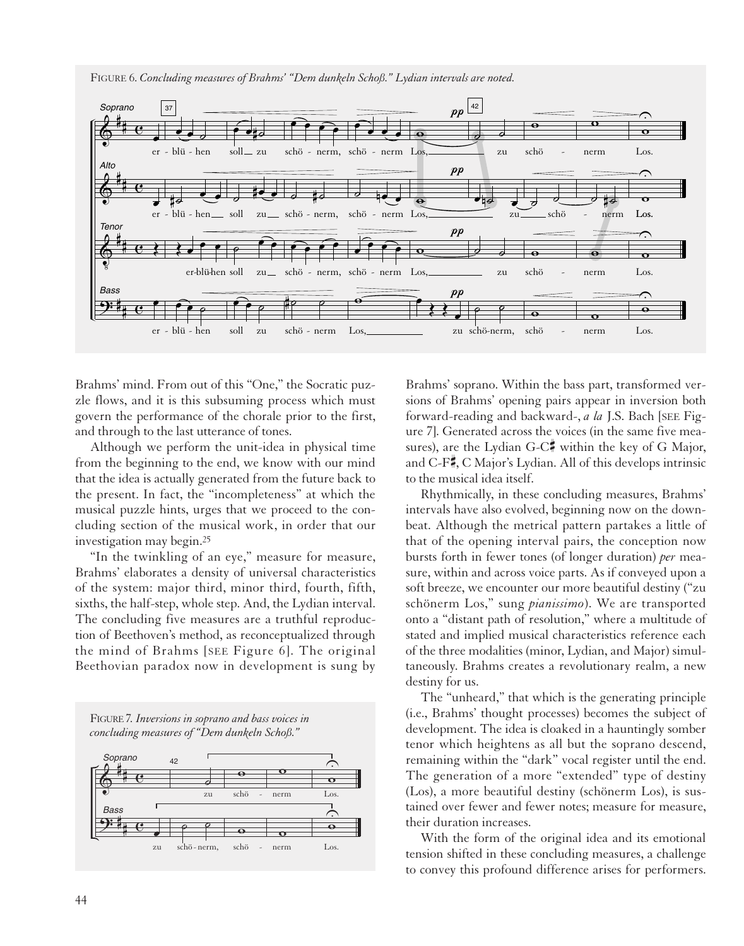FIGURE 6. *Concluding measures of Brahms' "Dem dunkeln Schoß." Lydian intervals are noted.*



Brahms' mind. From out of this "One," the Socratic puzzle flows, and it is this subsuming process which must govern the performance of the chorale prior to the first, and through to the last utterance of tones.

Although we perform the unit-idea in physical time from the beginning to the end, we know with our mind that the idea is actually generated from the future back to the present. In fact, the "incompleteness" at which the musical puzzle hints, urges that we proceed to the concluding section of the musical work, in order that our investigation may begin.25

"In the twinkling of an eye," measure for measure, Brahms' elaborates a density of universal characteristics of the system: major third, minor third, fourth, fifth, sixths, the half-step, whole step. And, the Lydian interval. The concluding five measures are a truthful reproduction of Beethoven's method, as reconceptualized through the mind of Brahms [SEE Figure 6]. The original Beethovian paradox now in development is sung by





Brahms' soprano. Within the bass part, transformed versions of Brahms' opening pairs appear in inversion both forward-reading and backward-, *a la* J.S. Bach [SEE Figure 7]. Generated across the voices (in the same five measures), are the Lydian G-C $\sharp$  within the key of G Major, and C-F $\frac{1}{2}$ , C Major's Lydian. All of this develops intrinsic to the musical idea itself.

Rhythmically, in these concluding measures, Brahms' intervals have also evolved, beginning now on the downbeat. Although the metrical pattern partakes a little of that of the opening interval pairs, the conception now bursts forth in fewer tones (of longer duration) *per* measure, within and across voice parts. As if conveyed upon a soft breeze, we encounter our more beautiful destiny ("zu schönerm Los," sung *pianissimo*). We are transported onto a "distant path of resolution," where a multitude of stated and implied musical characteristics reference each of the three modalities (minor, Lydian, and Major) simultaneously. Brahms creates a revolutionary realm, a new destiny for us.

The "unheard," that which is the generating principle (i.e., Brahms' thought processes) becomes the subject of development. The idea is cloaked in a hauntingly somber tenor which heightens as all but the soprano descend, remaining within the "dark" vocal register until the end. The generation of a more "extended" type of destiny (Los), a more beautiful destiny (schönerm Los), is sustained over fewer and fewer notes; measure for measure, their duration increases.

With the form of the original idea and its emotional tension shifted in these concluding measures, a challenge to convey this profound difference arises for performers.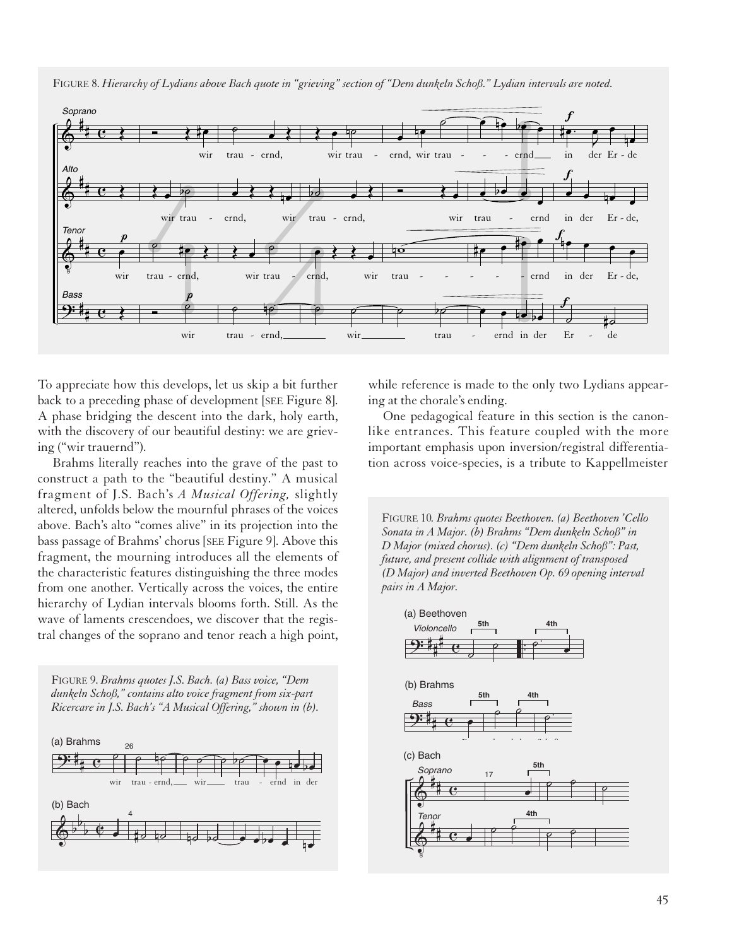FIGURE 8. *Hierarchy of Lydians above Bach quote in "grieving" section of "Dem dunkeln Schoß." Lydian intervals are noted.*



To appreciate how this develops, let us skip a bit further back to a preceding phase of development [SEE Figure 8]. A phase bridging the descent into the dark, holy earth, with the discovery of our beautiful destiny: we are grieving ("wir trauernd").

Brahms literally reaches into the grave of the past to construct a path to the "beautiful destiny." A musical fragment of J.S. Bach's *A Musical Offering,* slightly altered, unfolds below the mournful phrases of the voices above. Bach's alto "comes alive" in its projection into the bass passage of Brahms' chorus [SEE Figure 9]. Above this fragment, the mourning introduces all the elements of the characteristic features distinguishing the three modes from one another. Vertically across the voices, the entire hierarchy of Lydian intervals blooms forth. Still. As the wave of laments crescendoes, we discover that the registral changes of the soprano and tenor reach a high point,





while reference is made to the only two Lydians appearing at the chorale's ending.

One pedagogical feature in this section is the canonlike entrances. This feature coupled with the more important emphasis upon inversion/registral differentiation across voice-species, is a tribute to Kappellmeister

FIGURE 10*. Brahms quotes Beethoven. (a) Beethoven 'Cello Sonata in A Major. (b) Brahms "Dem dunkeln Schoß" in D Major (mixed chorus). (c) "Dem dunkeln Schoß": Past, future, and present collide with alignment of transposed (D Major) and inverted Beethoven Op. 69 opening interval pairs in A Major.*

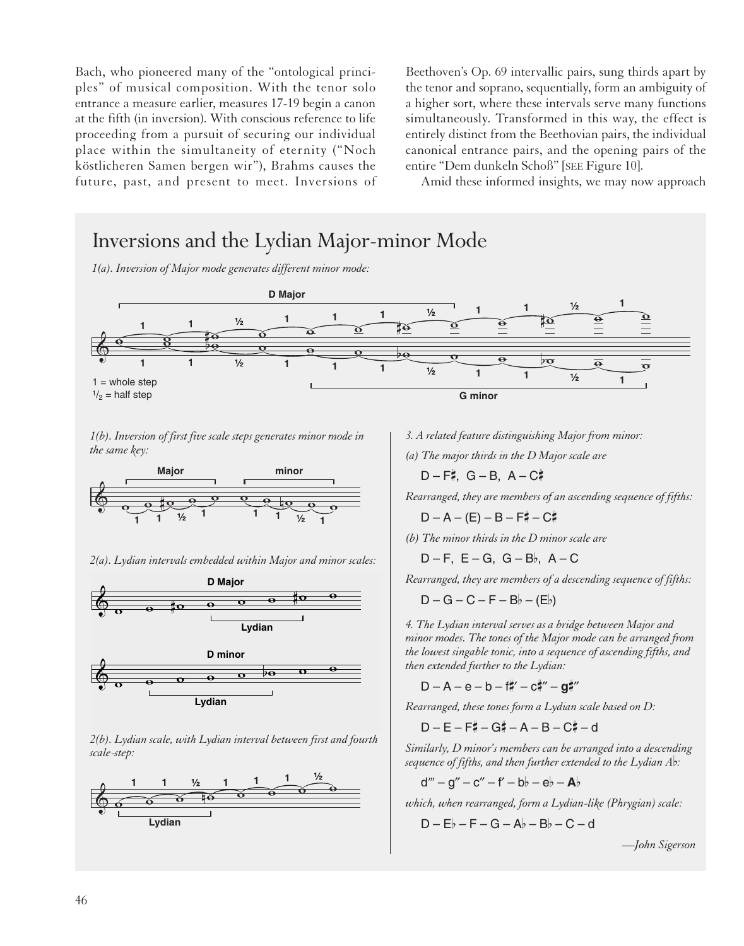Bach, who pioneered many of the "ontological principles" of musical composition. With the tenor solo entrance a measure earlier, measures 17-19 begin a canon at the fifth (in inversion). With conscious reference to life proceeding from a pursuit of securing our individual place within the simultaneity of eternity ("Noch köstlicheren Samen bergen wir"), Brahms causes the future, past, and present to meet. Inversions of

Beethoven's Op. 69 intervallic pairs, sung thirds apart by the tenor and soprano, sequentially, form an ambiguity of a higher sort, where these intervals serve many functions simultaneously. Transformed in this way, the effect is entirely distinct from the Beethovian pairs, the individual canonical entrance pairs, and the opening pairs of the entire "Dem dunkeln Schoß" [SEE Figure 10].

Amid these informed insights, we may now approach

## Inversions and the Lydian Major-minor Mode

*1(a). Inversion of Major mode generates different minor mode:*



*1(b). Inversion of first five scale steps generates minor mode in the same key:*



*2(a). Lydian intervals embedded within Major and minor scales:*





*2(b). Lydian scale, with Lydian interval between first and fourth scale-step:*



*3. A related feature distinguishing Major from minor:*

*(a) The major thirds in the D Major scale are*

D – F#, G – B, A – C#

*Rearranged, they are members of an ascending sequence of fifths:*

 $D - A - (E) - B - F + - C$ 

*(b) The minor thirds in the D minor scale are*

 $D - F$ ,  $E - G$ ,  $G - B$ ,  $A - C$ 

*Rearranged, they are members of a descending sequence of fifths:*

$$
D-G-C-F-B\flat-(E\flat)
$$

*4. The Lydian interval serves as a bridge between Major and minor modes. The tones of the Major mode can be arranged from the lowest singable tonic, into a sequence of ascending fifths, and then extended further to the Lydian:*

 $D - A - e - b - f''' + c''' - g'''$ 

*Rearranged, these tones form a Lydian scale based on D:*

 $D - E - F + - G + - A - B - C + - d$ 

*Similarly, D minor's members can be arranged into a descending sequence of fifths, and then further extended to the Lydian Ab:* 

$$
d'''-g''-c''-f'-b\flat-e\flat-\mathbf{A}\flat
$$

*which, when rearranged, form a Lydian-like (Phrygian) scale:*

$$
D-E\flat-F-G-A\flat-B\flat-C-d
$$

*—John Sigerson*